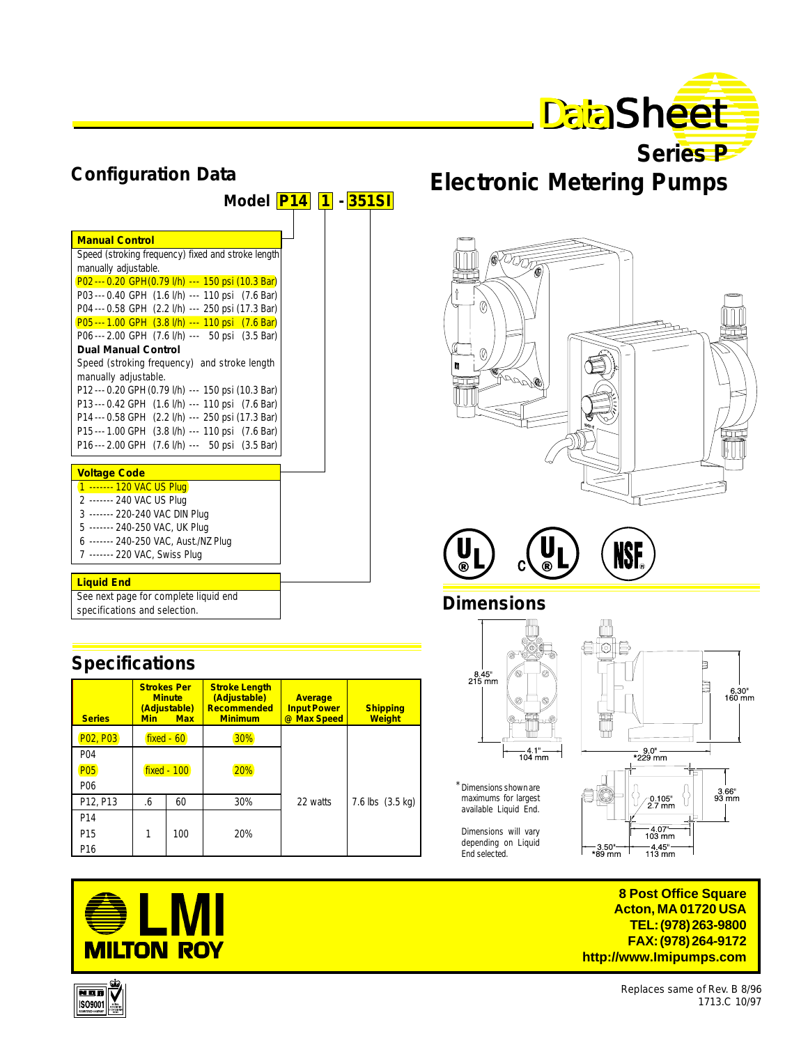

|                        | Series P |  |
|------------------------|----------|--|
| ctronic Meterina Pumps |          |  |

| Model <b>P14</b> 1 - 351SI                         |  |
|----------------------------------------------------|--|
|                                                    |  |
| <b>Manual Control</b>                              |  |
| Speed (stroking frequency) fixed and stroke length |  |
| manually adjustable.                               |  |
| P02 --- 0.20 GPH (0.79 l/h) --- 150 psi (10.3 Bar) |  |
| P03 --- 0.40 GPH (1.6 l/h) --- 110 psi (7.6 Bar)   |  |
| P04 --- 0.58 GPH (2.2 l/h) --- 250 psi (17.3 Bar)  |  |
| P05---1.00 GPH (3.8 l/h) --- 110 psi (7.6 Bar)     |  |
| P06 --- 2.00 GPH (7.6 l/h) --- 50 psi (3.5 Bar)    |  |
| <b>Dual Manual Control</b>                         |  |
| Speed (stroking frequency) and stroke length       |  |
| manually adjustable.                               |  |
| P12 --- 0.20 GPH (0.79 l/h) --- 150 psi (10.3 Bar) |  |
| P13 --- 0.42 GPH (1.6 l/h) --- 110 psi (7.6 Bar)   |  |
| P14 --- 0.58 GPH (2.2 l/h) --- 250 psi (17.3 Bar)  |  |
| P15 --- 1.00 GPH (3.8 l/h) --- 110 psi (7.6 Bar)   |  |
| P16 --- 2.00 GPH (7.6 l/h) --- 50 psi (3.5 Bar)    |  |
| <b>Voltage Code</b>                                |  |
| 1 ------- 120 VAC US Plug                          |  |
| 2 ------- 240 VAC US Plug                          |  |
| 3 ------- 220-240 VAC DIN Plug                     |  |
| 5 ------- 240-250 VAC, UK Plug                     |  |
| 6 ------- 240-250 VAC, Aust./NZ Plug               |  |
| 7 ------- 220 VAC, Swiss Plug                      |  |
|                                                    |  |
| <b>Liquid End</b>                                  |  |
| See next page for complete liquid end              |  |

specifications and selection.

**Configuration Data**

# **Specifications**

| <b>Series</b>   | <b>Strokes Per</b><br><b>Minute</b><br>(Adjustable)<br><b>Min</b><br><b>Max</b> |  | <b>Stroke Length</b><br>(Adjustable)<br>Recommended<br><b>Minimum</b> | <b>Average</b><br><b>Input Power</b><br>@ Max Speed | <b>Shipping</b><br><b>Weight</b> |  |  |
|-----------------|---------------------------------------------------------------------------------|--|-----------------------------------------------------------------------|-----------------------------------------------------|----------------------------------|--|--|
| P02, P03        | $fixed - 60$                                                                    |  | 30%                                                                   |                                                     |                                  |  |  |
| P04             | fixed - 100                                                                     |  |                                                                       |                                                     |                                  |  |  |
| <b>P05</b>      |                                                                                 |  | 20%                                                                   |                                                     |                                  |  |  |
| P <sub>06</sub> |                                                                                 |  |                                                                       |                                                     |                                  |  |  |
| P12, P13        | 60<br>.6                                                                        |  | 30%                                                                   | 22 watts                                            | 7.6 lbs $(3.5 \text{ kg})$       |  |  |
| P <sub>14</sub> |                                                                                 |  |                                                                       |                                                     |                                  |  |  |
| P <sub>15</sub> | 1<br>100                                                                        |  | 20%                                                                   |                                                     |                                  |  |  |
| P <sub>16</sub> |                                                                                 |  |                                                                       |                                                     |                                  |  |  |



# **Electronic Metering**





# **Dimensions**



Dimensions shown are \* maximums for largest available Liquid End.

Dimensions will vary depending on Liquid End selected.



**8 Post Office Square Acton, MA 01720 USA TEL: (978) 263-9800 FAX: (978) 264-9172 http://www.Imipumps.com**